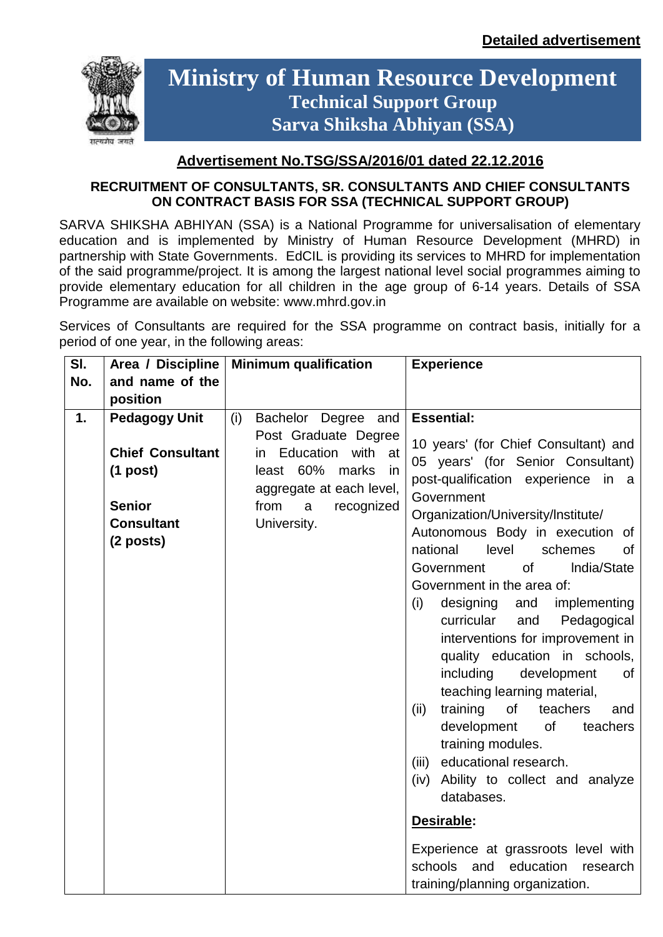

# **Ministry of Human Resource Development Technical Support Group Sarva Shiksha Abhiyan (SSA)**

## **Advertisement No.TSG/SSA/2016/01 dated 22.12.2016**

#### **RECRUITMENT OF CONSULTANTS, SR. CONSULTANTS AND CHIEF CONSULTANTS ON CONTRACT BASIS FOR SSA (TECHNICAL SUPPORT GROUP)**

SARVA SHIKSHA ABHIYAN (SSA) is a National Programme for universalisation of elementary education and is implemented by Ministry of Human Resource Development (MHRD) in partnership with State Governments. EdCIL is providing its services to MHRD for implementation of the said programme/project. It is among the largest national level social programmes aiming to provide elementary education for all children in the age group of 6-14 years. Details of SSA Programme are available on website: www.mhrd.gov.in

Services of Consultants are required for the SSA programme on contract basis, initially for a period of one year, in the following areas:

| SI. | Area / Discipline                                                                        | <b>Minimum qualification</b>                                                                                                                          | <b>Experience</b>                                                                                                                                                                                                                                                                                                                                                                                                                                                                                                                                                                                                                                                                                                                                |
|-----|------------------------------------------------------------------------------------------|-------------------------------------------------------------------------------------------------------------------------------------------------------|--------------------------------------------------------------------------------------------------------------------------------------------------------------------------------------------------------------------------------------------------------------------------------------------------------------------------------------------------------------------------------------------------------------------------------------------------------------------------------------------------------------------------------------------------------------------------------------------------------------------------------------------------------------------------------------------------------------------------------------------------|
| No. | and name of the                                                                          |                                                                                                                                                       |                                                                                                                                                                                                                                                                                                                                                                                                                                                                                                                                                                                                                                                                                                                                                  |
|     | position                                                                                 |                                                                                                                                                       |                                                                                                                                                                                                                                                                                                                                                                                                                                                                                                                                                                                                                                                                                                                                                  |
| 1.  | <b>Pedagogy Unit</b>                                                                     | (i)<br>Bachelor Degree and                                                                                                                            | <b>Essential:</b>                                                                                                                                                                                                                                                                                                                                                                                                                                                                                                                                                                                                                                                                                                                                |
|     | <b>Chief Consultant</b><br>$(1$ post)<br><b>Senior</b><br><b>Consultant</b><br>(2 posts) | Post Graduate Degree<br>Education with<br>in.<br>at<br>least 60%<br>marks<br>in<br>aggregate at each level,<br>from<br>recognized<br>a<br>University. | 10 years' (for Chief Consultant) and<br>05 years' (for Senior Consultant)<br>post-qualification experience<br>in a<br>Government<br>Organization/University/Institute/<br>Autonomous Body in execution of<br>national<br>level<br>schemes<br>0f<br>of<br>India/State<br>Government<br>Government in the area of:<br>implementing<br>designing<br>and<br>(i)<br>curricular<br>Pedagogical<br>and<br>interventions for improvement in<br>quality education in schools,<br>including<br>development<br>0f<br>teaching learning material,<br>training<br>of<br>teachers<br>(ii)<br>and<br>development<br>of<br>teachers<br>training modules.<br>educational research.<br>(iii)<br>Ability to collect and analyze<br>(iv)<br>databases.<br>Desirable: |
|     |                                                                                          |                                                                                                                                                       | Experience at grassroots level with<br>schools<br>and<br>education<br>research<br>training/planning organization.                                                                                                                                                                                                                                                                                                                                                                                                                                                                                                                                                                                                                                |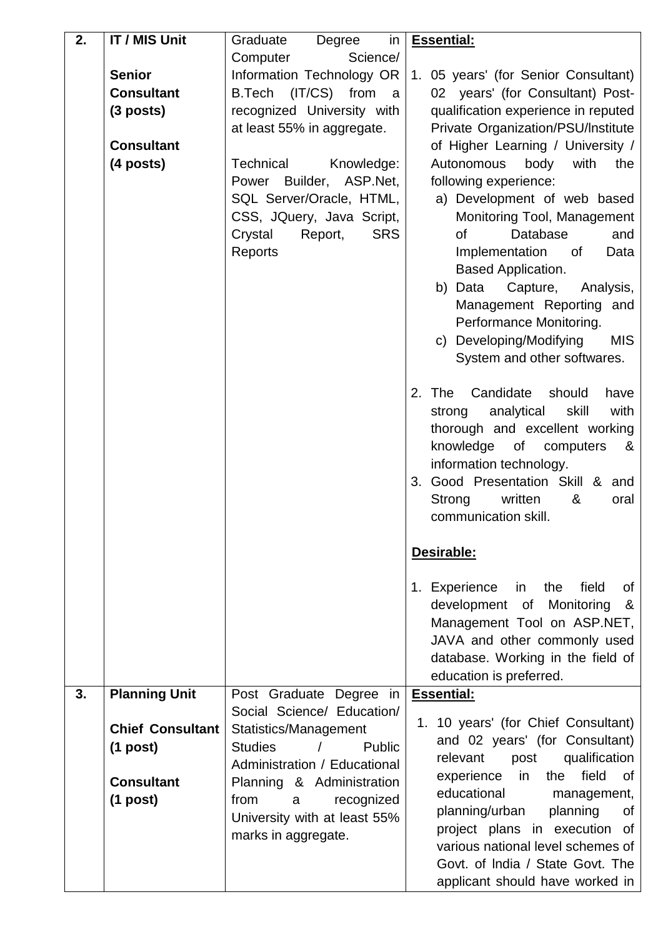| 2. | <b>IT / MIS Unit</b>    | in<br>Graduate<br>Degree                                                             | <b>Essential:</b>                                 |
|----|-------------------------|--------------------------------------------------------------------------------------|---------------------------------------------------|
|    |                         | Science/<br>Computer                                                                 |                                                   |
|    | <b>Senior</b>           | Information Technology OR                                                            | 1. 05 years' (for Senior Consultant)              |
|    | <b>Consultant</b>       | B.Tech (IT/CS) from<br>a                                                             | 02 years' (for Consultant) Post-                  |
|    | $(3$ posts)             | recognized University with                                                           | qualification experience in reputed               |
|    |                         | at least 55% in aggregate.                                                           | Private Organization/PSU/Institute                |
|    | <b>Consultant</b>       |                                                                                      | of Higher Learning / University /                 |
|    | (4 posts)               | Technical<br>Knowledge:                                                              | with<br>Autonomous<br>body<br>the                 |
|    |                         | Power Builder, ASP.Net,                                                              | following experience:                             |
|    |                         | SQL Server/Oracle, HTML,                                                             | a) Development of web based                       |
|    |                         | CSS, JQuery, Java Script,                                                            | Monitoring Tool, Management                       |
|    |                         | <b>SRS</b><br>Crystal<br>Report,                                                     | <b>of</b><br>Database<br>and                      |
|    |                         | Reports                                                                              | Implementation<br>of<br>Data                      |
|    |                         |                                                                                      | <b>Based Application.</b>                         |
|    |                         |                                                                                      | b)<br>Data<br>Capture,<br>Analysis,               |
|    |                         |                                                                                      | Management Reporting and                          |
|    |                         |                                                                                      | Performance Monitoring.                           |
|    |                         |                                                                                      | c) Developing/Modifying<br><b>MIS</b>             |
|    |                         |                                                                                      | System and other softwares.                       |
|    |                         |                                                                                      |                                                   |
|    |                         |                                                                                      | Candidate<br>should<br>2. The<br>have             |
|    |                         |                                                                                      | with<br>analytical<br>skill<br>strong             |
|    |                         |                                                                                      | thorough and excellent working                    |
|    |                         |                                                                                      | knowledge of computers<br>&                       |
|    |                         |                                                                                      | information technology.                           |
|    |                         |                                                                                      | 3. Good Presentation Skill & and                  |
|    |                         |                                                                                      | written<br>Strong<br>&<br>oral                    |
|    |                         |                                                                                      | communication skill.                              |
|    |                         |                                                                                      | Desirable:                                        |
|    |                         |                                                                                      |                                                   |
|    |                         |                                                                                      | 1. Experience<br>in the set<br>the<br>field<br>of |
|    |                         |                                                                                      | development of<br>Monitoring<br>&                 |
|    |                         |                                                                                      | Management Tool on ASP.NET,                       |
|    |                         |                                                                                      | JAVA and other commonly used                      |
|    |                         |                                                                                      | database. Working in the field of                 |
|    |                         |                                                                                      | education is preferred.                           |
| 3. | <b>Planning Unit</b>    | Post Graduate Degree in                                                              | <b>Essential:</b>                                 |
|    | <b>Chief Consultant</b> | Social Science/ Education/                                                           | 1. 10 years' (for Chief Consultant)               |
|    |                         | Statistics/Management<br>$\overline{\phantom{a}}$<br><b>Studies</b><br><b>Public</b> | and 02 years' (for Consultant)                    |
|    | $(1$ post)              | Administration / Educational                                                         | qualification<br>relevant<br>post                 |
|    | <b>Consultant</b>       | Planning & Administration                                                            | field<br>$\mathsf{in}$<br>the<br>experience<br>0f |
|    | $(1$ post)              | from<br>recognized<br>a                                                              | educational<br>management,                        |
|    |                         | University with at least 55%                                                         | planning/urban<br>planning<br>0f                  |
|    |                         | marks in aggregate.                                                                  | project plans in execution of                     |
|    |                         |                                                                                      | various national level schemes of                 |
|    |                         |                                                                                      | Govt. of India / State Govt. The                  |
|    |                         |                                                                                      | applicant should have worked in                   |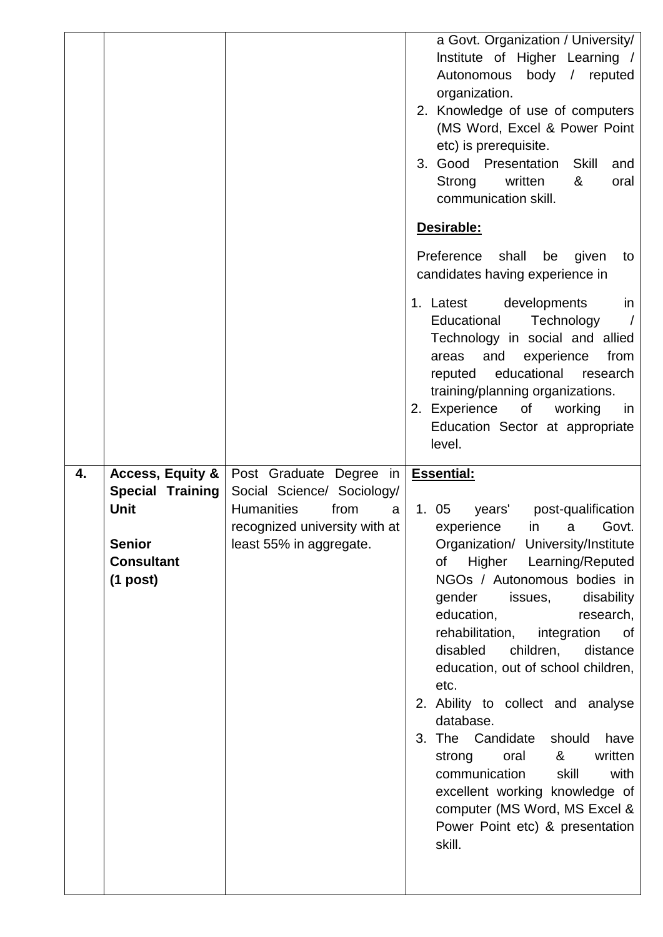|    |                                                                              |                                                                                                                          | a Govt. Organization / University/<br>Institute of Higher Learning /<br>Autonomous body / reputed<br>organization.<br>2. Knowledge of use of computers<br>(MS Word, Excel & Power Point<br>etc) is prerequisite.<br>3. Good Presentation<br><b>Skill</b><br>and<br>Strong<br>written<br>&<br>oral<br>communication skill. |
|----|------------------------------------------------------------------------------|--------------------------------------------------------------------------------------------------------------------------|---------------------------------------------------------------------------------------------------------------------------------------------------------------------------------------------------------------------------------------------------------------------------------------------------------------------------|
|    |                                                                              |                                                                                                                          | Desirable:                                                                                                                                                                                                                                                                                                                |
|    |                                                                              |                                                                                                                          | Preference<br>shall<br>given<br>be<br>to<br>candidates having experience in                                                                                                                                                                                                                                               |
|    |                                                                              |                                                                                                                          | 1. Latest developments<br>in<br>Educational<br>Technology<br>Technology in social and allied<br>and<br>experience<br>from<br>areas<br>educational<br>research<br>reputed<br>training/planning organizations.<br>2. Experience of working<br>in<br>Education Sector at appropriate<br>level.                               |
| 4. | <b>Access, Equity &amp;</b>                                                  | Post Graduate Degree in                                                                                                  | <b>Essential:</b>                                                                                                                                                                                                                                                                                                         |
|    | <b>Special Training</b><br><b>Unit</b><br><b>Senior</b><br><b>Consultant</b> | Social Science/ Sociology/<br><b>Humanities</b><br>from<br>a<br>recognized university with at<br>least 55% in aggregate. | 1. 05<br>years'<br>post-qualification<br>experience<br>in a<br>Govt.<br>Organization/ University/Institute                                                                                                                                                                                                                |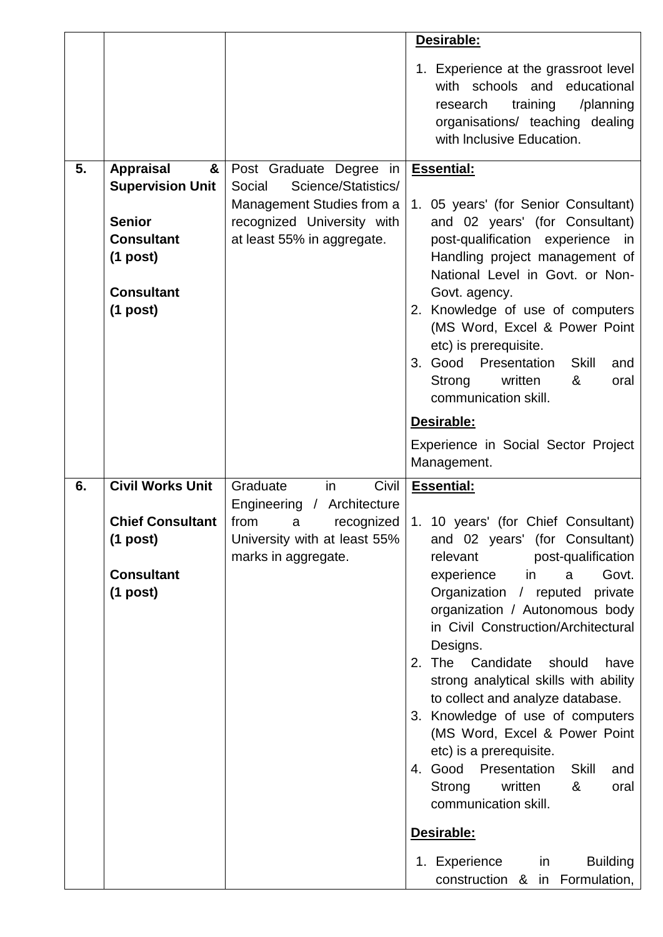|    |                                    |                                                          | Desirable:                                                                                                                                                                   |
|----|------------------------------------|----------------------------------------------------------|------------------------------------------------------------------------------------------------------------------------------------------------------------------------------|
|    |                                    |                                                          | 1. Experience at the grassroot level<br>with schools and<br>educational<br>training<br>/planning<br>research<br>organisations/ teaching dealing<br>with Inclusive Education. |
| 5. | <b>Appraisal</b><br>&              | Post Graduate Degree in                                  | <b>Essential:</b>                                                                                                                                                            |
|    | <b>Supervision Unit</b>            | Science/Statistics/<br>Social                            |                                                                                                                                                                              |
|    |                                    | Management Studies from a                                | 1. 05 years' (for Senior Consultant)                                                                                                                                         |
|    | <b>Senior</b><br><b>Consultant</b> | recognized University with<br>at least 55% in aggregate. | and 02 years' (for Consultant)<br>post-qualification experience in                                                                                                           |
|    | $(1$ post)                         |                                                          | Handling project management of                                                                                                                                               |
|    |                                    |                                                          | National Level in Govt. or Non-                                                                                                                                              |
|    | <b>Consultant</b>                  |                                                          | Govt. agency.                                                                                                                                                                |
|    | $(1$ post)                         |                                                          | 2. Knowledge of use of computers<br>(MS Word, Excel & Power Point                                                                                                            |
|    |                                    |                                                          | etc) is prerequisite.                                                                                                                                                        |
|    |                                    |                                                          | 3. Good Presentation<br><b>Skill</b><br>and                                                                                                                                  |
|    |                                    |                                                          | written<br>Strong<br>&<br>oral<br>communication skill.                                                                                                                       |
|    |                                    |                                                          | Desirable:                                                                                                                                                                   |
|    |                                    |                                                          | Experience in Social Sector Project                                                                                                                                          |
|    |                                    |                                                          |                                                                                                                                                                              |
|    |                                    |                                                          | Management.                                                                                                                                                                  |
| 6. | <b>Civil Works Unit</b>            | Graduate<br>Civil<br>in                                  | <b>Essential:</b>                                                                                                                                                            |
|    |                                    | Engineering / Architecture                               |                                                                                                                                                                              |
|    | <b>Chief Consultant</b>            | from<br>recognized<br>a                                  | 1. 10 years' (for Chief Consultant)                                                                                                                                          |
|    | $(1$ post)                         | University with at least 55%<br>marks in aggregate.      | and 02 years' (for Consultant)<br>relevant<br>post-qualification                                                                                                             |
|    | <b>Consultant</b>                  |                                                          | Govt.<br>experience<br>in<br>a                                                                                                                                               |
|    | $(1$ post)                         |                                                          | Organization / reputed private                                                                                                                                               |
|    |                                    |                                                          | organization / Autonomous body                                                                                                                                               |
|    |                                    |                                                          | in Civil Construction/Architectural<br>Designs.                                                                                                                              |
|    |                                    |                                                          | 2. The Candidate<br>should<br>have                                                                                                                                           |
|    |                                    |                                                          | strong analytical skills with ability                                                                                                                                        |
|    |                                    |                                                          | to collect and analyze database.                                                                                                                                             |
|    |                                    |                                                          | 3. Knowledge of use of computers<br>(MS Word, Excel & Power Point                                                                                                            |
|    |                                    |                                                          | etc) is a prerequisite.                                                                                                                                                      |
|    |                                    |                                                          | 4. Good Presentation<br><b>Skill</b><br>and                                                                                                                                  |
|    |                                    |                                                          | written<br>Strong<br>&<br>oral<br>communication skill.                                                                                                                       |
|    |                                    |                                                          | Desirable:                                                                                                                                                                   |
|    |                                    |                                                          | 1. Experience<br><b>Building</b><br>in                                                                                                                                       |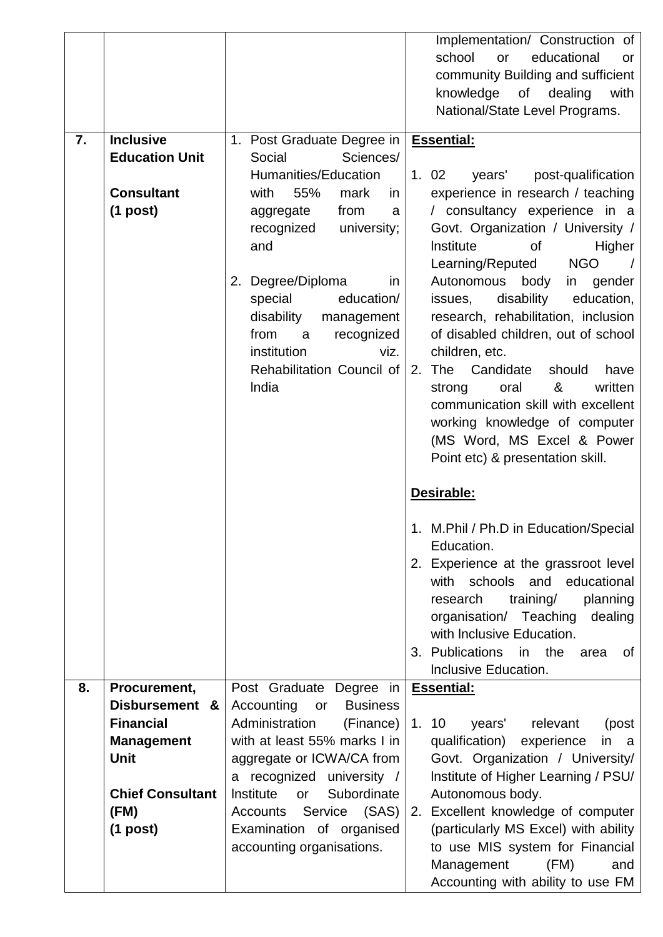|    |                                    |                                                                                                                                                                                                                                                                                         | Implementation/ Construction of<br>school<br>educational<br>or<br>or<br>community Building and sufficient<br>knowledge<br>of<br>with<br>dealing<br>National/State Level Programs.                                                                                                                                                                                                                                                                                                                                                                                                                                                |
|----|------------------------------------|-----------------------------------------------------------------------------------------------------------------------------------------------------------------------------------------------------------------------------------------------------------------------------------------|----------------------------------------------------------------------------------------------------------------------------------------------------------------------------------------------------------------------------------------------------------------------------------------------------------------------------------------------------------------------------------------------------------------------------------------------------------------------------------------------------------------------------------------------------------------------------------------------------------------------------------|
| 7. | <b>Inclusive</b>                   | 1. Post Graduate Degree in                                                                                                                                                                                                                                                              | <b>Essential:</b>                                                                                                                                                                                                                                                                                                                                                                                                                                                                                                                                                                                                                |
|    | <b>Education Unit</b>              | Social<br>Sciences/                                                                                                                                                                                                                                                                     |                                                                                                                                                                                                                                                                                                                                                                                                                                                                                                                                                                                                                                  |
|    | <b>Consultant</b><br>$(1$ post)    | Humanities/Education<br>55%<br>with<br>mark<br>in<br>from<br>aggregate<br>a<br>recognized<br>university;<br>and<br>2. Degree/Diploma<br>in<br>special<br>education/<br>disability<br>management<br>from<br>recognized<br>a<br>institution<br>viz.<br>Rehabilitation Council of<br>India | 1.02<br>post-qualification<br>years'<br>experience in research / teaching<br>/ consultancy experience in a<br>Govt. Organization / University /<br>Institute<br><b>of</b><br>Higher<br><b>NGO</b><br>Learning/Reputed<br>Autonomous<br>body<br>gender<br>in<br>disability<br>education,<br>issues,<br>research, rehabilitation, inclusion<br>of disabled children, out of school<br>children, etc.<br>Candidate<br>should<br>2.<br><b>The</b><br>have<br>written<br>oral<br>&<br>strong<br>communication skill with excellent<br>working knowledge of computer<br>(MS Word, MS Excel & Power<br>Point etc) & presentation skill. |
|    |                                    |                                                                                                                                                                                                                                                                                         | Desirable:                                                                                                                                                                                                                                                                                                                                                                                                                                                                                                                                                                                                                       |
|    |                                    |                                                                                                                                                                                                                                                                                         | M.Phil / Ph.D in Education/Special<br>Education.<br>2. Experience at the grassroot level<br>and educational<br>with schools<br>training/<br>research<br>planning<br>organisation/ Teaching<br>dealing<br>with Inclusive Education.<br>3. Publications in the<br>area<br>of<br>Inclusive Education.                                                                                                                                                                                                                                                                                                                               |
| 8. | Procurement,                       | Post Graduate Degree in                                                                                                                                                                                                                                                                 | <b>Essential:</b>                                                                                                                                                                                                                                                                                                                                                                                                                                                                                                                                                                                                                |
|    | Disbursement &<br><b>Financial</b> | Accounting<br><b>Business</b><br>or<br>Administration<br>(Finance)                                                                                                                                                                                                                      | 1.10<br>years' relevant<br>(post                                                                                                                                                                                                                                                                                                                                                                                                                                                                                                                                                                                                 |
|    | <b>Management</b>                  | with at least 55% marks I in                                                                                                                                                                                                                                                            | qualification)<br>experience<br>in<br>a a                                                                                                                                                                                                                                                                                                                                                                                                                                                                                                                                                                                        |
|    | <b>Unit</b>                        | aggregate or ICWA/CA from                                                                                                                                                                                                                                                               | Govt. Organization / University/                                                                                                                                                                                                                                                                                                                                                                                                                                                                                                                                                                                                 |
|    |                                    | a recognized university /                                                                                                                                                                                                                                                               | Institute of Higher Learning / PSU/                                                                                                                                                                                                                                                                                                                                                                                                                                                                                                                                                                                              |
|    | <b>Chief Consultant</b>            | Subordinate<br>Institute<br>or                                                                                                                                                                                                                                                          | Autonomous body.                                                                                                                                                                                                                                                                                                                                                                                                                                                                                                                                                                                                                 |
|    | (FM)                               | Service (SAS)<br>Accounts<br>Examination of organised                                                                                                                                                                                                                                   | Excellent knowledge of computer<br>2.<br>(particularly MS Excel) with ability                                                                                                                                                                                                                                                                                                                                                                                                                                                                                                                                                    |
|    | $(1$ post)                         | accounting organisations.                                                                                                                                                                                                                                                               | to use MIS system for Financial<br>(FM)<br>Management<br>and<br>Accounting with ability to use FM                                                                                                                                                                                                                                                                                                                                                                                                                                                                                                                                |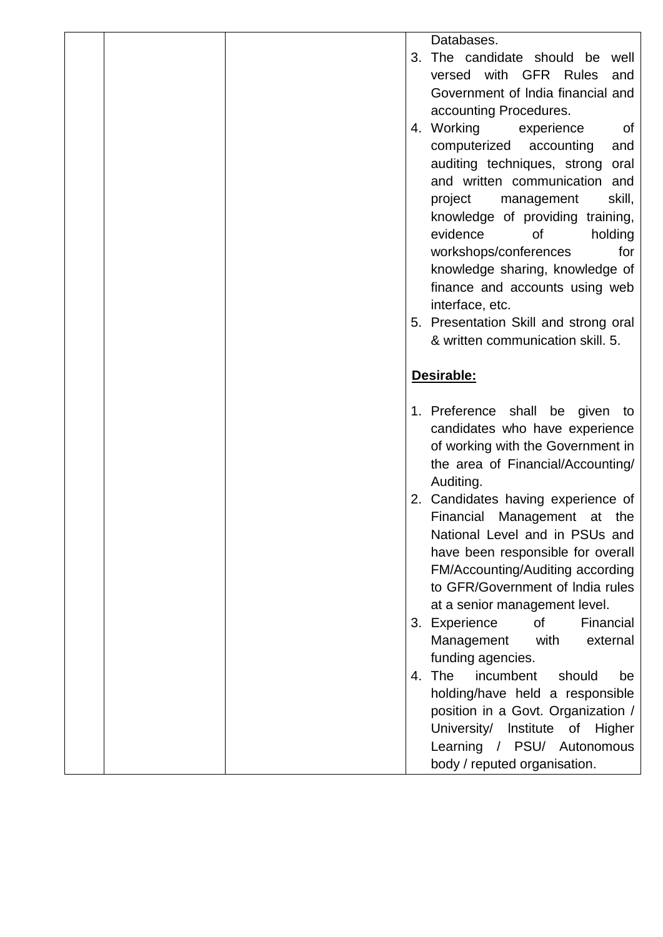|  |  | Databases.                             |
|--|--|----------------------------------------|
|  |  | 3. The candidate should be<br>well     |
|  |  | versed with<br><b>GFR Rules</b><br>and |
|  |  | Government of India financial and      |
|  |  | accounting Procedures.                 |
|  |  | 4. Working<br>experience<br><b>of</b>  |
|  |  | computerized<br>accounting<br>and      |
|  |  | auditing techniques, strong<br>oral    |
|  |  | and written communication and          |
|  |  | skill,<br>project<br>management        |
|  |  | knowledge of providing training,       |
|  |  | evidence<br>0f<br>holding              |
|  |  | workshops/conferences<br>for           |
|  |  | knowledge sharing, knowledge of        |
|  |  | finance and accounts using web         |
|  |  | interface, etc.                        |
|  |  | 5. Presentation Skill and strong oral  |
|  |  | & written communication skill, 5.      |
|  |  |                                        |
|  |  | Desirable:                             |
|  |  |                                        |
|  |  | 1. Preference shall be given<br>to     |
|  |  | candidates who have experience         |
|  |  | of working with the Government in      |
|  |  | the area of Financial/Accounting/      |
|  |  | Auditing.                              |
|  |  | 2. Candidates having experience of     |
|  |  | Financial<br>Management at the         |
|  |  | National Level and in PSUs and         |
|  |  | have been responsible for overall      |
|  |  | FM/Accounting/Auditing according       |
|  |  | to GFR/Government of India rules       |
|  |  | at a senior management level.          |
|  |  | 3. Experience<br>of<br>Financial       |
|  |  | Management<br>with<br>external         |
|  |  | funding agencies.                      |
|  |  | 4. The<br>incumbent<br>should<br>be    |
|  |  | holding/have held a responsible        |
|  |  | position in a Govt. Organization /     |
|  |  | University/ Institute of<br>Higher     |
|  |  |                                        |
|  |  | Learning / PSU/ Autonomous             |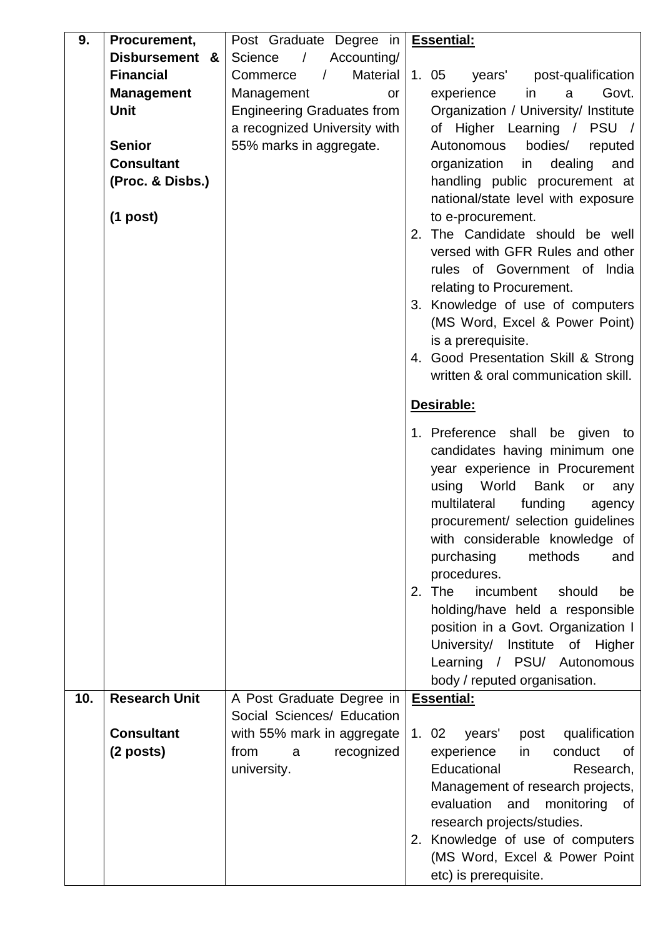| 9.  | Procurement,         | Post Graduate Degree in              | <b>Essential:</b>                                                 |
|-----|----------------------|--------------------------------------|-------------------------------------------------------------------|
|     | Disbursement &       | Accounting/<br>Science<br>$\sqrt{2}$ |                                                                   |
|     | <b>Financial</b>     | Material<br>Commerce<br>$\sqrt{ }$   | 1.05<br>years' post-qualification                                 |
|     | <b>Management</b>    | Management<br>or                     | Govt.<br>experience<br>in<br>a                                    |
|     | <b>Unit</b>          | <b>Engineering Graduates from</b>    | Organization / University/ Institute                              |
|     |                      | a recognized University with         | of Higher Learning / PSU /                                        |
|     | <b>Senior</b>        | 55% marks in aggregate.              | bodies/<br>Autonomous<br>reputed                                  |
|     | <b>Consultant</b>    |                                      | organization<br>dealing<br>in<br>and                              |
|     | (Proc. & Disbs.)     |                                      | handling public procurement at                                    |
|     |                      |                                      | national/state level with exposure                                |
|     | $(1$ post)           |                                      | to e-procurement.                                                 |
|     |                      |                                      | 2. The Candidate should be well                                   |
|     |                      |                                      | versed with GFR Rules and other                                   |
|     |                      |                                      | rules of Government of India                                      |
|     |                      |                                      | relating to Procurement.                                          |
|     |                      |                                      | 3. Knowledge of use of computers                                  |
|     |                      |                                      | (MS Word, Excel & Power Point)                                    |
|     |                      |                                      | is a prerequisite.<br>4. Good Presentation Skill & Strong         |
|     |                      |                                      | written & oral communication skill.                               |
|     |                      |                                      |                                                                   |
|     |                      |                                      | Desirable:                                                        |
|     |                      |                                      | 1. Preference shall be given to                                   |
|     |                      |                                      | candidates having minimum one                                     |
|     |                      |                                      | year experience in Procurement                                    |
|     |                      |                                      | World<br><b>Bank</b><br>using<br>or<br>any                        |
|     |                      |                                      | multilateral<br>funding<br>agency                                 |
|     |                      |                                      | procurement/ selection guidelines                                 |
|     |                      |                                      | with considerable knowledge of<br>purchasing<br>methods<br>and    |
|     |                      |                                      | procedures.                                                       |
|     |                      |                                      | 2. The<br>incumbent<br>should<br>be                               |
|     |                      |                                      | holding/have held a responsible                                   |
|     |                      |                                      | position in a Govt. Organization I                                |
|     |                      |                                      | University/<br>Institute of Higher                                |
|     |                      |                                      | Learning / PSU/ Autonomous                                        |
|     |                      |                                      | body / reputed organisation.                                      |
| 10. | <b>Research Unit</b> | A Post Graduate Degree in            | <b>Essential:</b>                                                 |
|     |                      | Social Sciences/ Education           |                                                                   |
|     | <b>Consultant</b>    | with 55% mark in aggregate           | qualification<br>1.02<br>years'<br>post                           |
|     | $(2$ posts)          | from<br>recognized<br>a              | in<br>conduct<br>experience<br>0f                                 |
|     |                      | university.                          | Educational<br>Research,                                          |
|     |                      |                                      | Management of research projects,                                  |
|     |                      |                                      | evaluation<br>and<br>monitoring<br>οf                             |
|     |                      |                                      | research projects/studies.                                        |
|     |                      |                                      | 2. Knowledge of use of computers<br>(MS Word, Excel & Power Point |
|     |                      |                                      | etc) is prerequisite.                                             |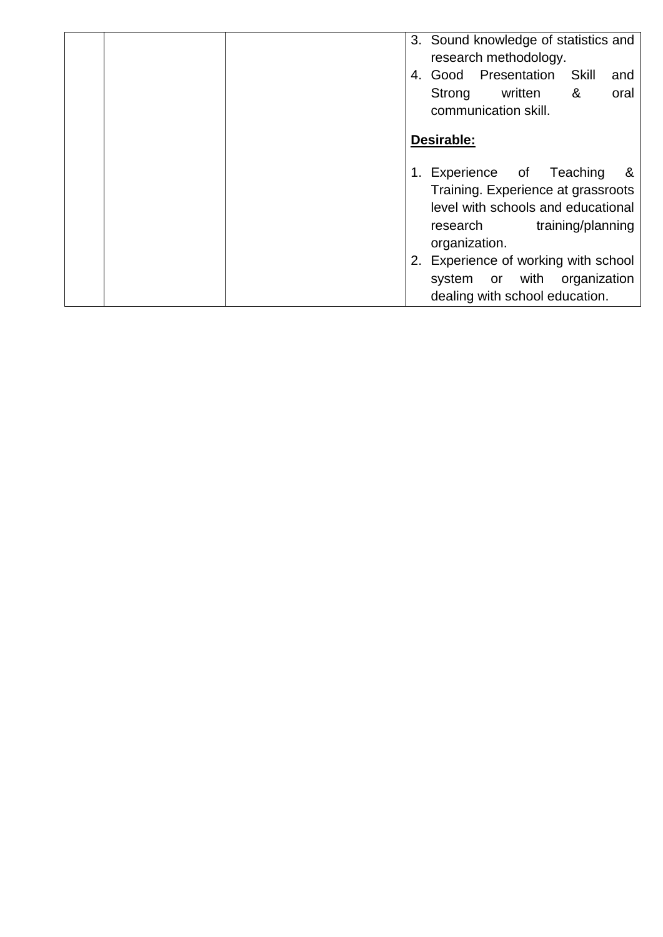| 3. Sound knowledge of statistics and<br>research methodology.<br>4. Good Presentation<br>Skill<br>and<br>&<br>written<br>Strong<br>oral<br>communication skill. |
|-----------------------------------------------------------------------------------------------------------------------------------------------------------------|
| Desirable:                                                                                                                                                      |
| 1. Experience of Teaching<br>&<br>Training. Experience at grassroots<br>level with schools and educational<br>training/planning<br>research<br>organization.    |
| 2. Experience of working with school<br>system or with organization<br>dealing with school education.                                                           |